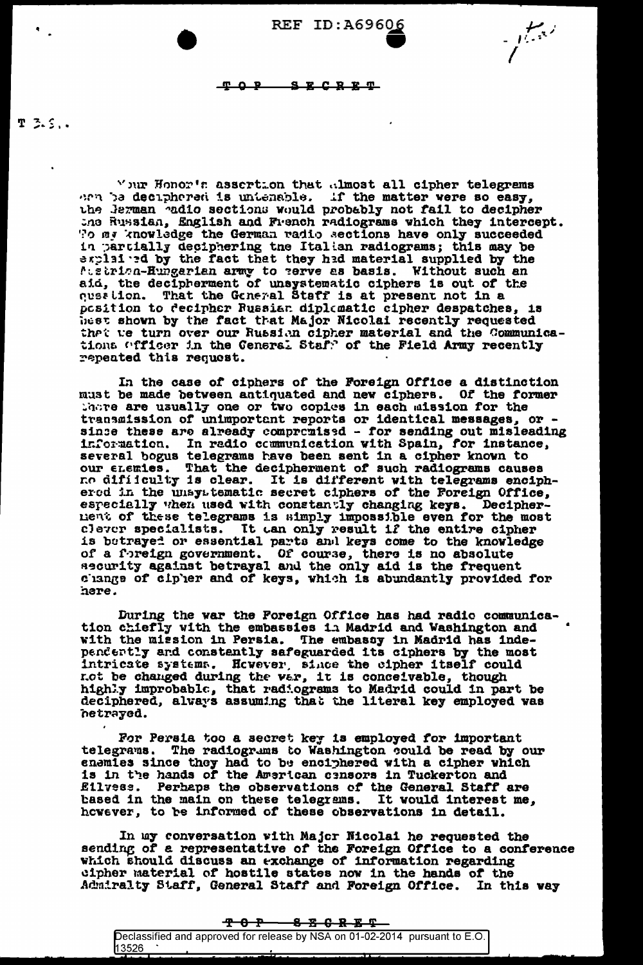TOP SECRET

 $T$  3.5..

Vonor's assertion that almost all cipher telegrams arn be deciphered is untenable. If the matter were so easy, the Jerman adio sections would probably not fail to decipher the Russian, English and French radiograms which they intercept. To my knowledge the German radio sections have only succeeded in partially deciphering the Italian radiograms; this may be explained by the fact that they had material supplied by the Attributed and the contract of the material dipperce by the first function. That the General Staff is at present not in a position to decipher Russian diplomatic cipher despatches, is hest shown by the fact that Major Micolai recently requested that we turn over our Russian cipher material and the Communications officer in the Ceneral Staff of the Field Army recently repeated this request.

In the case of ciphers of the Foreign Office a distinction must be made between antiquated and new ciphers. Of the former there are usually one or two copies in each mission for the transmission of unimportant reports in each mission for the transmission of unimportant reports or identical messages, or -<br>since these are already compromised - for sending out misleading<br>information. In redio communicati no difitculty is clear. It is different with telegrams enciphered in the unsystematic secret ciphers of the Foreign Office, especially when used with constantly changing keys. Decipherment of these telegrams is simply impossible even for the most clever specialists. It can only result if the entire cipher is betrayed or essential parts and keys come to the knowledge<br>of a foreign government. Of course, there is no absolute<br>security against betrayal and the only aid is the frequent<br>change of cipher and of keys, which is abund here.

During the war the Foreign Office has had radio communication chiefly with the embassies in Madrid and Washington and with the mission in Persia. The embassy in Madrid has independently and constantly safeguarded its ciphers by the most intricate systems. However, since the cipher itself could not be changed during the var, it is conceivable, though<br>highly improbable, that radiograms to Madrid could in part be<br>deciphered, always assuming that the literal key employed was hetrayed.

For Persia too a secret key is employed for important telegrams. The radiograms to Washington could be read by our enamies since they had to be enciphered with a cipher which<br>is in the hands of the American censors in Tuckerton and Perhaps the observations of the General Staff are Eilvess. based in the main on these telegrams. It would interest me, however, to be informed of these observations in detail.

In my conversation with Major Nicolai he requested the sending of a representative of the Foreign Office to a conference which should discuss an exchange of information regarding cipher material of hostile states now in the hands of the Admiralty Staff, General Staff and Foreign Office. In this way

|                                                                             |  |  |  | <b>TOP SECRET</b> |  |  |
|-----------------------------------------------------------------------------|--|--|--|-------------------|--|--|
| Declassified and approved for release by NSA on 01-02-2014 pursuant to E.O. |  |  |  |                   |  |  |
| 13526                                                                       |  |  |  |                   |  |  |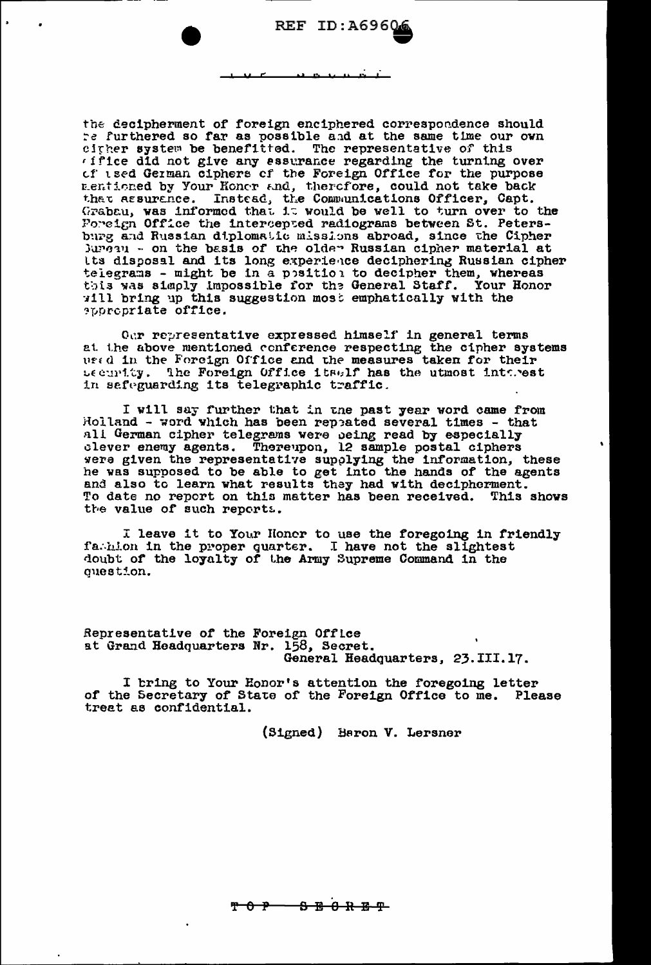the decipherment of foreign enciphered correspondence should re furthered so far as possible and at the same time our own citier system be benefitted. The representative of this 'ifice did not give any assurance regarding the turning over of used German ciphers of the Foreign Office for the purpose Eentioned by Your Honor and, therefore, could not take back<br>that assurence. Instead, the Communications Officer, Capt.<br>Grabau, was informed that it would be well to turn over to the Poreign Office the intercepted radiograms between St. Petersburg and Russian diplomatic missions abroad, since the Cipher Jurgan - on the basis of the older Russian cipher material at Its disposal and its long experience deciphering Russian cipher telegrams - might be in a position to decipher them, whereas this was simply impossible for the General Staff. Your Honor will bring up this suggestion most emphatically with the appropriate office.

Our representative expressed himself in general terms at the above mentioned conference respecting the cipher systems used in the Forcign Office and the measures taken for their security. The Foreign Office itself has the utmost interest in safeguarding its telegraphic traffic.

I will say further that in the past year word came from Holland - word which has been repeated several times - that all German cipher telegrams were being read by especially clever enemy agents. Thereupon, 12 sample postal ciphers were given the representative supplying the information, these he was supposed to be able to get into the hands of the agents and also to learn what results they had with decipherment. To date no report on this matter has been received. This shows the value of such reports.

I leave it to Your Honer to use the foregoing in friendly fachlon in the proper quarter. I have not the slightest doubt of the loyalty of the Army Supreme Command in the question.

Representative of the Foreign Office at Grand Headquarters Nr. 158, Secret. General Headquarters, 23.III.17.

I bring to Your Honor's attention the foregoing letter<br>of the Secretary of State of the Foreign Office to me. Please treat as confidential.

(Signed) Baron V. Lersner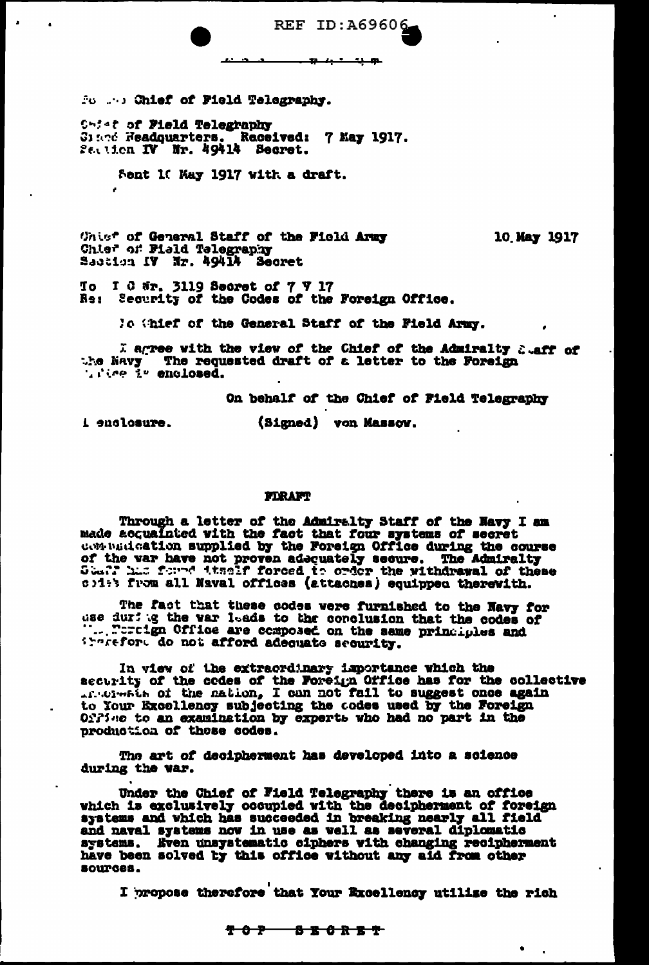**REF ID: A69606**  $12 + 1 - 1 - 10$ 

Form ... Chief of Field Telegraphy.

Shief of Field Telegraphy Class Readquarters. Received: 7 May 1917. Section IV Nr. 49414 Secret.

Sent 10 May 1917 with a draft.

Unist of General Staff of the Field Army Chief of Field Telegraphy Saction IV Nr. 49414 Secret

10 May 1917

To I C Wr. 3119 Secret of 7 V 17 Re: Security of the Codes of the Foreign Office.

lo (hief of the General Staff of the Field Army.

I agree with the view of the Chief of the Admiralty Suaff of the Navy The requested draft of a letter to the Foreign wike is enclosed.

On behalf of the Chief of Field Telegraphy

i enclosure.

(Signed) von Massow.

#### FIRAFT

Through a letter of the Admiralty Staff of the Navy I am<br>made acquainted with the fact that four systems of secret<br>contuintation supplied by the Foreign Office during the course<br>of the war have not proven adequately secure

The fact that these codes were furnished to the Navy for<br>use during the var leads to the conclusion that the codes of<br>"...." retign Office are composed on the same principles and itarefore do not afford adequate security.

In view of the extraordinary importance which the security of the codes of the Foreign Office has for the collective to Your Excellency subjecting the codes used by the Foreign Offine to an examination by experts who had no part in the production of these codes.

The art of decipherment has developed into a science during the war.

Under the Chief of Field Telegraphy there is an office which is exclusively occupied with the decipherment of foreign<br>systems and which has succeeded in breaking nearly all field<br>and naval systems now in use as well as several diplomatic<br>systems. Kven unsystematic ciphers with sources.

I propose therefore that Your Excellency utilize the rich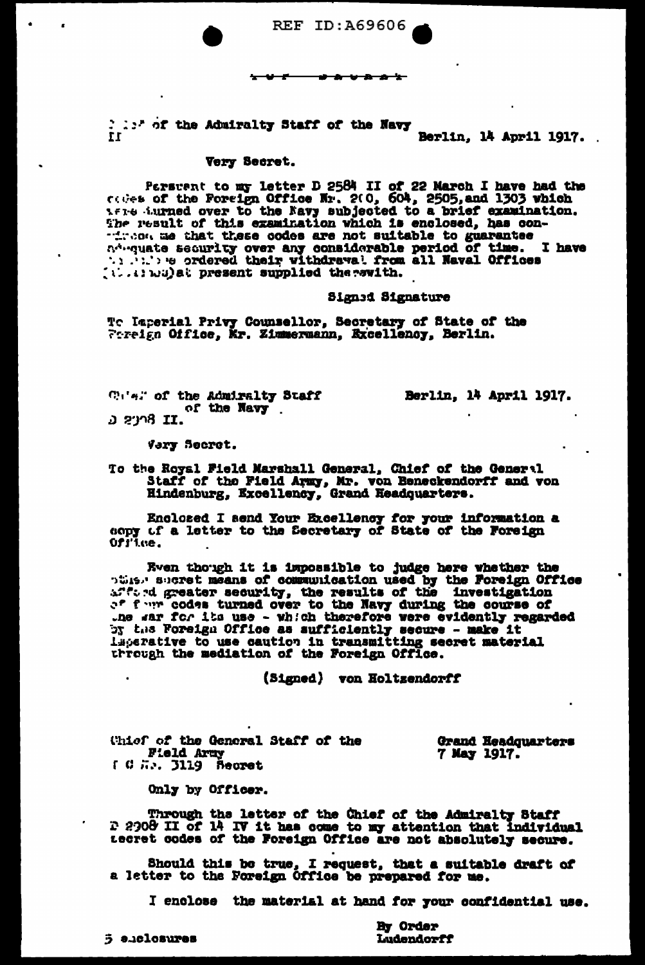**REF ID: A69606** 

I lift of the Admiralty Staff of the Navy II

Berlin, 14 April 1917.

## Very Secret.

Persuent to my letter D 2584 II of 22 March I have had the<br>codes of the Foreign Office Nr. 200, 604, 2505, and 1303 which<br>Afree Surned over to the Navy subjected to a brief examination. The result of this examination which is enclosed, has con-Theorem that these codes are not suitable to guarantee<br>adveyate security over any considerable period of time. I have (i...) wu) at present supplied the evith.

Signed Signature

To Imperial Privy Counsellor, Secretary of State of the<br>Foreign Office, Mr. Zimmermann, Excellency, Berlin.

Cular of the Admiralty Staff of the Navy נ**דן 8**ינפ ט'

Berlin, 14 April 1917.

Vary Secret.

To the Royal Field Marshall General, Chief of the General Staff of the Field Army, Mr. von Beneckendorff and von Hindenburg, Excellency, Grand Headquarters.

Enclosed I send Your Excellency for your information a copy of a letter to the Secretary of State of the Foreign Ofilee.

Even though it is impossible to judge here whether the<br>pulse short means of communication used by the Foreign Office<br>affect greater security, the results of the investigation<br>of four codes turned over to the Navy during t by the Foreign Office as sufficiently secure - make it Laperative to use caution in transmitting secret material through the mediation of the Foreign Office.

(Signed) von Holtzendorff

**Thiof of the General Staff of the Field Army** Grand Headquarters 7 May 1917. I G H. J119 Secret

Only by Officer.

Through the letter of the Chief of the Admiralty Staff 2 2908 II of 14 IV it has come to my attention that individual tecret codes of the Foreign Office are not absolutely secure.

Should this be true, I request, that a suitable draft of a letter to the Foreign Office be prepared for me.

I enclose the material at hand for your confidential use.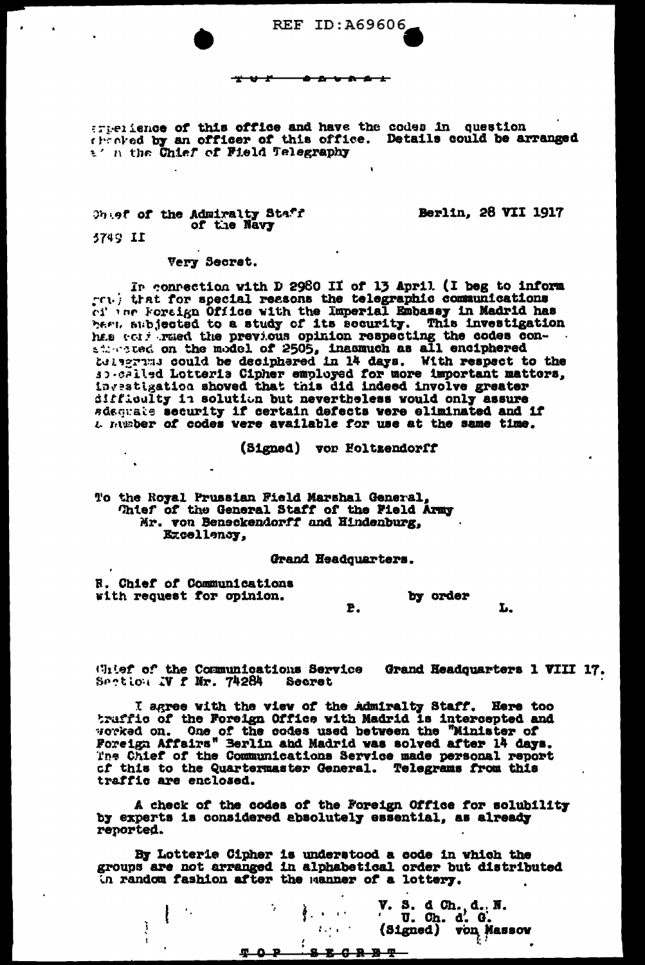

- 11

erperience of this office and have the codes in question the oked by an officer of this office. Details could be arranged a' a the Chief of Field Telegraphy

Ontef of the Admiralty Staff of the Navy

**Berlin, 28 VII 1917** 

5749 II

## Very Secret.

In connection with D 2980 II of 13 April (I beg to inform ret. that for special reasons the telegraphic communications ci ing Foreign Office with the Imperial Embassy in Madrid has hert, subjected to a study of its security. This investigation here we will be a study of the security. This investigation<br>here were the previous opinion respecting the codes con-<br>singled on the model of 2505, inasmuch as all enciphered<br>is apprimit could be deciphered in 14 days. With difficulty in solution but nevertheless would only assure sdequate security if certain defects were eliminated and if a number of codes were available for use at the same time.

(Signed) vor Foltzendorff

# To the Royal Prussian Field Marshal General, Thief of the General Staff of the Field Army Mr. von Beneckendorff and Hindenburg, Excellency,

Grand Headquarters.

R. Chief of Communications with request for opinion.

by order E. L.

Glief of the Communications Service Grand Headquarters 1 VIII 17. Section IV f Nr. 74284 Secret

I agree with the view of the admiralty Staff. Here too traffic of the Foreign Office with Madrid is intercepted and worked on. One of the codes used between the "Minister of Foreign Affairs" Berlin and Madrid was solved after 14 days. The Chief of the Communications Service made personal report of this to the Quartermaster General. Telegrams from this traffic are enclosed.

A check of the codes of the Foreign Office for solubility by experts is considered absolutely essential, as already reported.

By Lotterie Cipher is understood a code in which the groups are not arranged in alphabetical order but distributed In random fashion after the manner of a lottery.

|  |  | $\mathcal{L} = \mathcal{L}$ | V. S. d Ch. d. N.<br>' U. Ch. d. G.<br>(Signed) von Masson |
|--|--|-----------------------------|------------------------------------------------------------|
|  |  |                             |                                                            |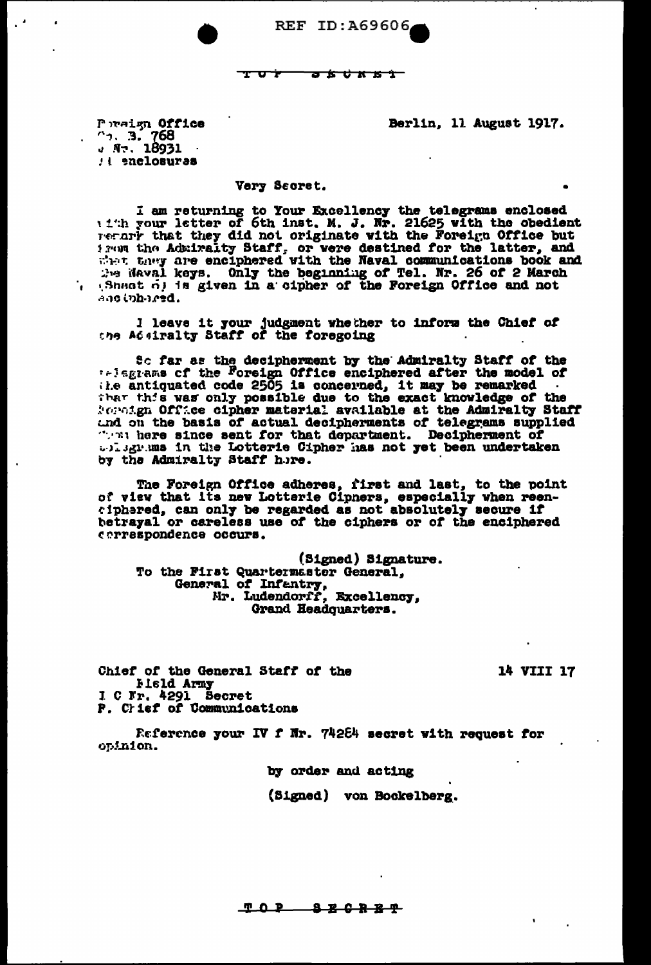REF ID: A69606

<del>a k d k k î -</del>

Berlin, 11 August 1917.

Poraign Office  $\frac{1}{4}$ , 3. 768 : t enclosures

# Very Secret.

I am returning to Your Excellency the telegrams enclosed<br>with your letter of 6th inst. M. J. Nr. 21625 with the obedient Terarr that they did not originate with the Foreign Office but From the Admiralty Staff, or were destined for the latter, and<br>the they are enciphered with the Naval communications book and<br>the Naval keys. Only the beginning of Tel. Nr. 26 of 2 March<br>(Sheat of is given in a cipher of t and inhered.

I leave it your judgment whether to inform the Chief of the Addiralty Staff of the foregoing

So far as the decipherment by the Admiralty Staff of the<br>telegrams of the Foreign Office enciphered after the model of<br>the antiquated code 2505 is concerned, it may be remarked<br>that this was only possible due to the exact Reporter Office cipher material available at the Admiralty Staff and on the basis of actual decipherments of telegrams supplied whisgrams in the Lotterie Cipher has not yet been undertaken by the Admiralty Staff here.

The Foreign Office adheres, first and last, to the point of view that its new Lotterie Cipners, especially when reen-<br>ciphered, can only be regarded as not absolutely secure if betrayal or careless use of the ciphers or of the enciphered cerrespondence occurs.

(Signed) Signature. To the First Quartermaster General, General of Infantry, Mr. Ludendorff, Excellency, Grand Headquarters.

Chief of the General Staff of the Held Army I C Fr. 4291 Secret P. Crief of Communications

Reference your IV f Nr. 74284 secret with request for opinion.

by order and acting

(Signed) von Bockelberg.

14 VIII 17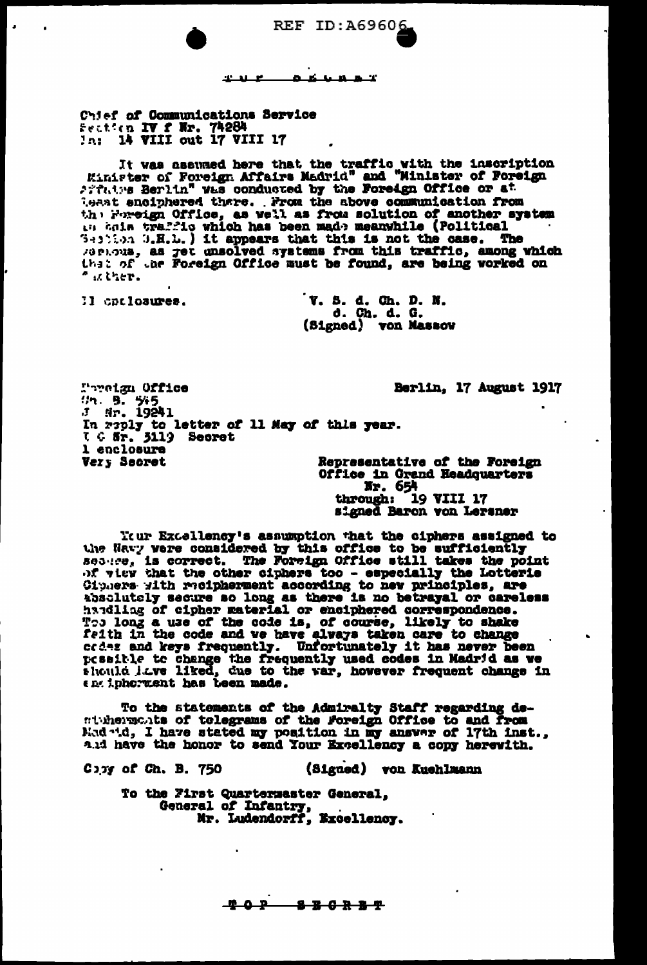**REF ID:A69606** 

ø. -6 تستقلعه

Chief of Communications Service Feation IV f Nr. 74284

 $22.31 - 12$ 

It was assumed here that the traffic with the inscription<br>Einister of Foreign Affairs Madrid" and "Minlater of Foreign Affairs Berlin" was conducted by the Foreign Office or at least enciphered thare. From the above communication from  $^{\circ}$  is there.

II cpriosures.

V. S. d. Ch. D. N. d. Ch. d. G. (Signed) von Massow

Pereign Office Berlin, 17 August 1917  $\frac{7}{1}$  s.  $\frac{5}{4}$ <br> $\frac{1}{2}$  sr. 19241 In raply to letter of 11 May of this year.<br>I G Sr. 3119 Secret 1 enclosure Very Secret Representative of the Foreign Office in Grand Headquarters

Nr. 654 through: 19 VIII 17 signed Baron von Leraner

Itur Excellency's assumption that the ciphers assigned to the Way were considered by this office to be sufficiently<br>seasing is correct. The Foreign Office still takes the point<br>of view that the other ciphers too - especially the Lotterie<br>Ciphers with radipherment according to new The long a use of the code is, of course, likely to shake<br>feith in the code and we have always taken care to change<br>codes and keys frequently. Unfortunately it has never been pessible to change the frequently used codes in Madrid as we should lave liked, due to the war, however frequent change in entipherment has been made.

To the statements of the Admiralty Staff regarding de-<br>minimum of telegrams of the Foreign Office to and from Mad .1d, I have stated my position in my answer of 17th inst., and have the honor to send Your Excellency a copy herewith.

(Signed) von Kuehlmann  $C<sub>2</sub>$ y of Ch. B.  $750$ 

To the First Quarternaster General, General of Infantry, Mr. Ludendorff, Excellency.

> $P$ 8 B C R B T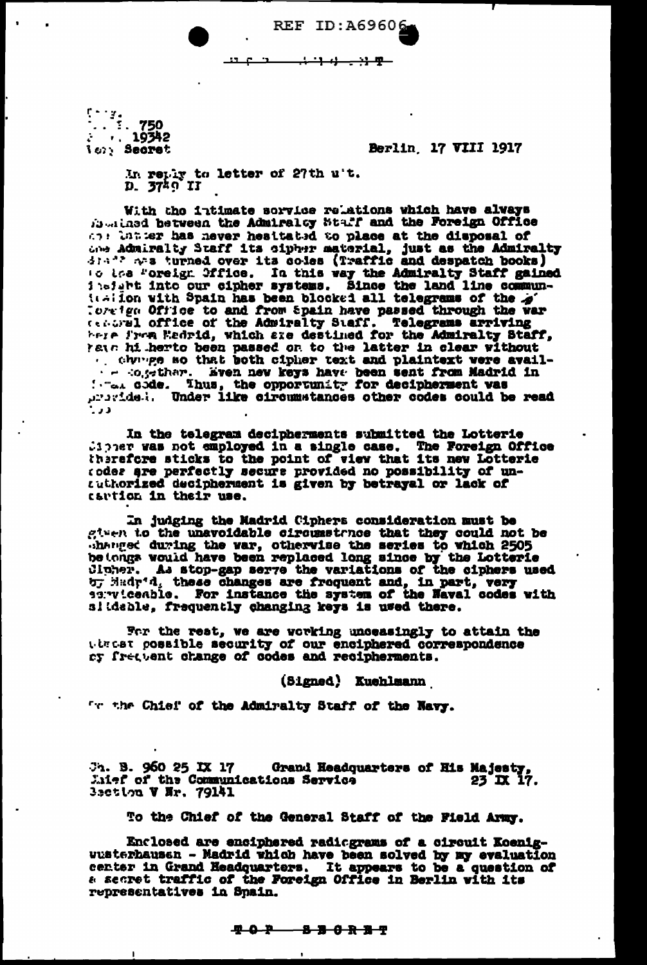حصه <del>- ۳ ژب ژب ژب</del>

REF ID: A69606

 $r - r$ . ler: Secret

Berlin, 17 VIII 1917

In reply to letter of 27th u't.<br>D. 3749 II

 $\mathbf{B}$ 

With the intimate service relations which have alvays fourthed between the Admiralty Staff and the Foreign Office and the ter has never heattated to place at the disposal of due Admiralty Staff its cipher material, just as the Admiralty ic iss Foreign Office. In this way the Admiralty Staff gained<br>insight into our cipher systems. Since the land line commun-<br>italion with Spain has been blocked all telegrams of the  $\hat{\phi}$ . Toreign Office to and from Spain have passed through the war<br>centural office of the Admiralty Staff. Telegrams arriving<br>here from Eedrid, which are destined for the Admiralty Staff, have his herto been passed on to the latter in clear without Constitute and we have been sent from Madrid in the code. Thus, the opportunity for decipherment was  $\mathbf{L}$ 

In the telegram decipherments submitted the Lotterie Cipper was not smployed in a single case. The Foreign Office therefore sticks to the point of view that its new Lotterie coder are perfectly secure provided no possibility of untuthorized decipherment is given by betrayal or lack of cartion in their use.

In judging the Madrid Ciphers consideration must be given to the unavoidable circumstrace that they could not be where during the var, otherwise the series to which 2505 be tongs would have been replaced long since by the Lotterie Cipher. As stop-gap serve the variations of the ciphers used by Madr'd, these changes are frequent and, in part, very sarvicenble. For instance the system of the Naval codes with slideble, frequently changing keys is used there.

For the rest, we are working unceasingly to attain the timest possible security of our enciphered correspondence cy frequent change of codes and recipherments.

(Signed) Kuehlmann

The Chief of the Admiralty Staff of the Navy.

Grand Headquarters of His Majesty,<br>ions Service 23 IX 17.  $3<sub>1</sub>$ . B. 960 25 IX 17 Litef of the Communications Service 3setion V Nr. 79141

To the Chief of the General Staff of the Field Army.

Enclosed are enciphered radiograms of a circuit Koeniguusterhausen - Madrid which have been solved by my evaluation center in Grand Headquarters. It appears to be a question of a secret traffic of the Foreign Office in Berlin with its representatives in Spain.

<u> 402 - 836 R S</u> T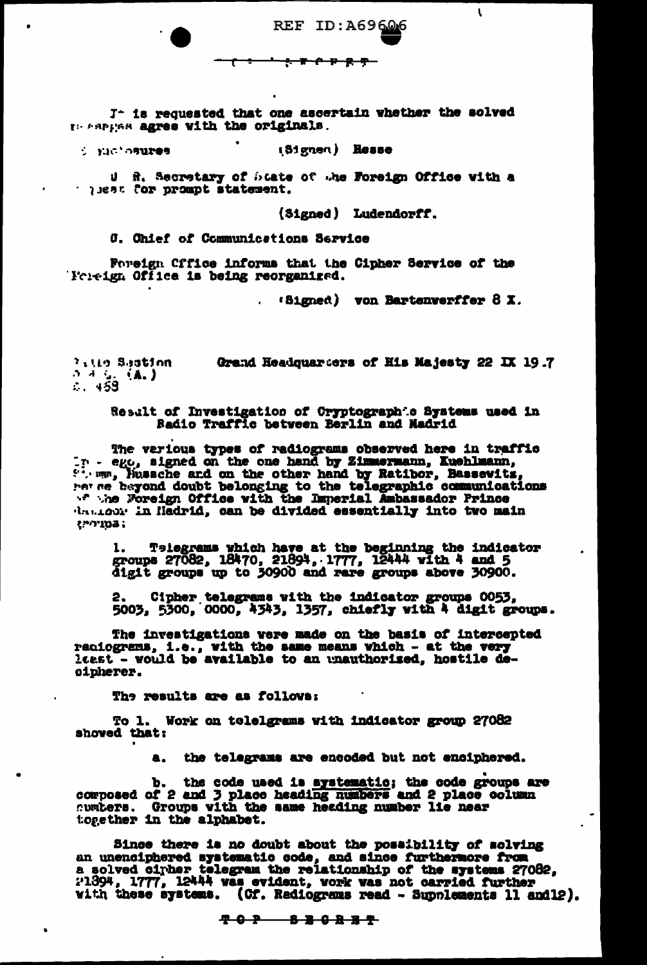**REF ID: A69606** <del>: ኮሶኮጸዋ</del> ᠊᠊ᡗ

J- is requested that one ascertain whether the solved In tertias agree with the originals.

(Signen) Hesse **SERVER STATES** 

U R. Secretary of blate of the Foreign Office with a statement. Tor prompt statement.

(Signed) Ludendorff.

**C. Chief of Communications Service** 

Foreign Cffice informs that the Cipher Service of the Boreign Office is being reorganized.

 $(3)$  ( $3)$  von Bartenverffer  $8 \times$ .

 $\mathbf{t}$ 

**Pitte Sastinn** Grand Headquarters of His Majesty 22 IX 19.7  $3\frac{1}{6}$  (A.)

Result of Investigation of Cryptographic Systems used in Radio Traffic between Berlin and Madrid

The verious types of radiograms observed here in traffic r - ego, signed on the one hand by Zimmermann, Kuehlmann, the man, Hussche and on the other hand by Ratibor, Bassevitz, the Foreign Office with the Imperial Ambassador Prince daniour in Hadrid, can be divided essentially into two main  $t$ " $103$ ;

1. Telegrams which have at the beginning the indicator<br>groups 27082, 18470, 21894, 1777, 12444 with 4 and 5<br>digit groups up to 30900 and rare groups above 30900.

Cipher telegrams with the indicator groups 0053, 2. 5003, 5300, 0000, 4343, 1357, chiefly with 4 digit groups.

The investigations were made on the basis of intercepted reciograms, i.e., with the same means which - at the very least - would be available to an unauthorized, hostile decipherer.

The results are as follows:

To 1. Work on telelgrams with indicator group 27082 showed that:

a. the telegrams are encoded but not enciphered.

b. the code used is systematic; the code groups are composed of 2 and 3 place heading numbers and 2 place column cumbers. Groups with the same heading number lie near together in the alphabet.

Since there is no doubt about the possibility of solving an unenciphered systematic code, and since furthermore from<br>a solved cirker telegram the relationship of the systems 27082,<br>21394, 1777, 12444 was evident, work was not carried further<br>with these systems. (Cf. Radiograms r

<del>7 0 P 8 B 0 R B T</del>